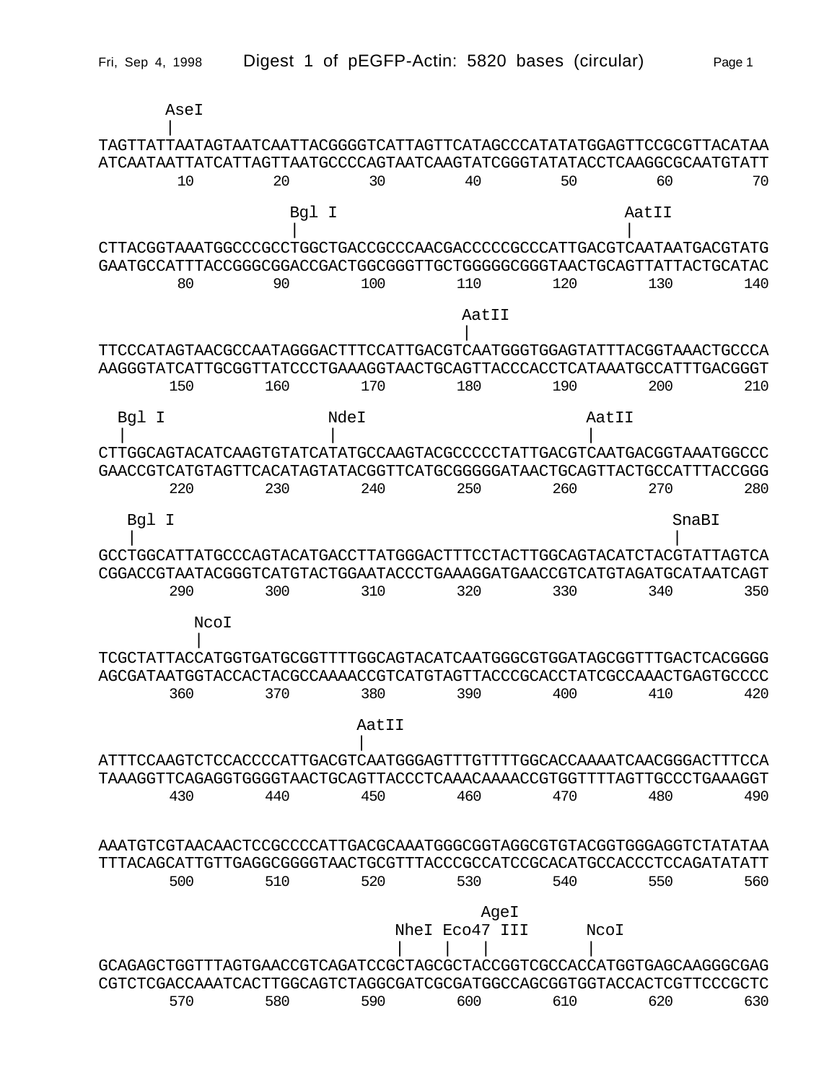|       | AseI |       |       |                        |       |                                                                                                                                                  |
|-------|------|-------|-------|------------------------|-------|--------------------------------------------------------------------------------------------------------------------------------------------------|
|       |      |       |       |                        |       | TAGTTATTAATAGTAATCAATTACGGGGTCATTAGTTCATAGCCCATATATGGAGTTCCGCGTTACATAA<br>ATCAATAATTATCATTAGTTAATGCCCCAGTAATCAAGTATCGGGTATATACCTCAAGGCGCAATGTATT |
|       | 10   | 20    | 30    | 40                     | 50    | 60<br>70                                                                                                                                         |
|       |      | Bgl I |       |                        |       | AatII                                                                                                                                            |
|       |      |       |       |                        |       | CTTACGGTAAATGGCCCGCCTGGCTGACCGCCCAACGACCCCCGCCCATTGACGTCAATAATGACGTATG                                                                           |
|       | 80   | 90    | 100   | 110                    | 120   | GAATGCCATTTACCGGGCGGACCGACTGGCGGGTTGCTGGGGCGGGTAACTGCAGTTATTACTGCATAC<br>130<br>140                                                              |
|       |      |       |       |                        |       |                                                                                                                                                  |
|       |      |       |       | AatII                  |       |                                                                                                                                                  |
|       |      |       |       |                        |       | TTCCCATAGTAACGCCAATAGGGACTTTCCATTGACGTCAATGGGTGGAGTATTTACGGTAAACTGCCCA<br>AAGGGTATCATTGCGGTTATCCCTGAAAGGTAACTGCAGTTACCCACCTCATAAATGCCATTTGACGGGT |
|       | 150  | 160   | 170   | 180                    | 190   | 200<br>210                                                                                                                                       |
| Bgl I |      | NdeI  |       |                        | AatII |                                                                                                                                                  |
|       |      |       |       |                        |       | CTTGGCAGTACATCAAGTGTATCATATGCCAAGTACGCCCCCTATTGACGTCAATGACGGTAAATGGCCC                                                                           |
|       | 220  | 230   | 240   | 250                    | 260   | GAACCGTCATGTAGTTCACATAGTATACGGTTCATGCGGGGGATAACTGCAGTTACTGCCATTTACCGGG<br>270<br>280                                                             |
| Bql   | I    |       |       |                        |       | SnaBI                                                                                                                                            |
|       |      |       |       |                        |       |                                                                                                                                                  |
|       |      |       |       |                        |       | GCCTGGCATTATGCCCAGTACATGACCTTATGGGACTTTCCTACTTGGCAGTACATCTACGTATTAGTCA<br>CGGACCGTAATACGGGTCATGTACTGGAATACCCTGAAAGGATGAACCGTCATGTAGATGCATAATCAGT |
|       | 290  | 300   | 310   | 320                    | 330   | 340<br>350                                                                                                                                       |
|       | NcoI |       |       |                        |       |                                                                                                                                                  |
|       |      |       |       |                        |       | TCGCTATTACCATGGTGATGCGGTTTTGGCAGTACATCAATGGGCGTGGATAGCGGTTTGACTCACGGGG                                                                           |
|       |      |       |       |                        |       | AGCGATAATGGTACCACTACGCCAAAACCGTCATGTAGTTACCCGCACCTATCGCCAAACTGAGTGCCC                                                                            |
|       | 360  | 370   | 380   | 390                    | 400   | 410<br>420                                                                                                                                       |
|       |      |       | AatII |                        |       |                                                                                                                                                  |
|       |      |       |       |                        |       |                                                                                                                                                  |
|       |      |       |       |                        |       |                                                                                                                                                  |
|       | 430  | 440   | 450   | 460                    | 470   | 480<br>490                                                                                                                                       |
|       |      |       |       |                        |       | AAATGTCGTAACAACTCCGCCCCATTGACGCAAATGGGCGGTAGGCGTGTACGGTGGGAGGTCTATAA                                                                             |
|       | 500  | 510   | 520   | 530                    | 540   | TTTACAGCATTGTTGAGGCGGGGTAACTGCGTTTACCCGCCATCCGCACATGCCACCCTCCAGATATATT<br>550<br>560                                                             |
|       |      |       |       |                        |       |                                                                                                                                                  |
|       |      |       |       | AgeI<br>Nhel Eco47 III | NCOI  |                                                                                                                                                  |
|       |      |       |       |                        |       |                                                                                                                                                  |
|       |      |       |       |                        |       | GCAGAGCTGGTTTAGTGAACCGTCAGATCCGCTAGCGCTACCGGTCGCCACCATGGTGAGCAAGGGCGAG<br>CGTCTCGACCAAATCACTTGGCAGTCTAGGCGATCGCGATGGCCAGCGGTGGTACCACTCGTTCCCGCTC |
|       | 570  | 580   | 590   | 600                    | 610   | 620<br>630                                                                                                                                       |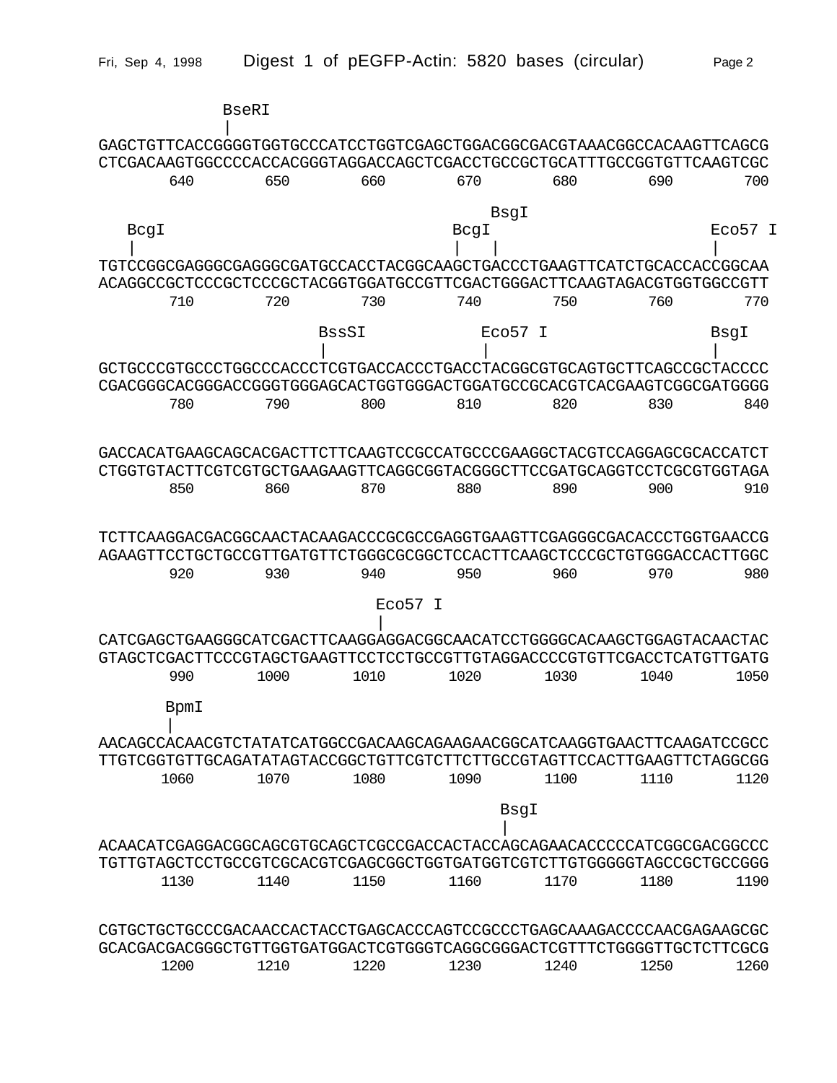|                                                                                                                                                  | <b>BseRI</b> |                     |      |                     |      |                     |
|--------------------------------------------------------------------------------------------------------------------------------------------------|--------------|---------------------|------|---------------------|------|---------------------|
|                                                                                                                                                  |              |                     |      |                     |      |                     |
| GAGCTGTTCACCGGGGTGGTGCCCATCCTGGTCGAGCTGGACGGCGACGTAAACGGCCACAAGTTCAGCG<br>CTCGACAAGTGGCCCCACCACGGGTAGGACCAGCTCGACCTGCCGCTGCATTTGCCGGTGTTCAAGTCGC |              |                     |      |                     |      |                     |
| 640                                                                                                                                              | 650          | 660                 | 670  | 680                 | 690  | 700                 |
|                                                                                                                                                  |              |                     |      |                     |      |                     |
|                                                                                                                                                  |              |                     |      | BsgI                |      |                     |
| BcgI                                                                                                                                             |              |                     | BcgI |                     |      | ECO <sub>57</sub> I |
| TGTCCGGCGAGGGCGAGGGCGATGCCACCTACGGCAAGCTGACCCTGAAGTTCATCTGCACCACCGGCAA                                                                           |              |                     |      |                     |      |                     |
| ACAGGCCGCTCCCGCTCCCGCTACGGTGGATGCCGTTCGACTGGGACTTCAAGTAGACGTGGTGGCCGTT                                                                           |              |                     |      |                     |      |                     |
| 710                                                                                                                                              | 720          | 730                 | 740  | 750                 | 760  | 770                 |
|                                                                                                                                                  |              | <b>BssSI</b>        |      | ECO <sub>57</sub> I |      | BsgI                |
|                                                                                                                                                  |              |                     |      |                     |      |                     |
| GCTGCCCGTGCCCTGGCCCACCCTCGTGACCACCCTGACCTACGGCGTGCAGTGCTTCAGCCGCTACCCC                                                                           |              |                     |      |                     |      |                     |
| CGACGGGCACGGGACCGGGTGGGAGCACTGGTGGGACTGGATGCCGCACGTCACGAAGTCGGCGATGGGG                                                                           |              |                     |      |                     |      |                     |
| 780                                                                                                                                              | 790          | 800                 | 810  | 820                 | 830  | 840                 |
|                                                                                                                                                  |              |                     |      |                     |      |                     |
| GACCACATGAAGCAGCACGACTTCTTCAAGTCCGCCATGCCCGAAGGCTACGTCCAGGAGCGCACCATCT                                                                           |              |                     |      |                     |      |                     |
| CTGGTGTACTTCGTCGTGCTGAAGAAGTTCAGGCGGTACGGGCTTCCGATGCAGGTCCTCGCGTGGTAGA                                                                           |              |                     |      |                     |      |                     |
| 850                                                                                                                                              | 860          | 870                 | 880  | 890                 | 900  | 910                 |
|                                                                                                                                                  |              |                     |      |                     |      |                     |
| TCTTCAAGGACGACGGCAACTACAAGACCCGCGCCGAGGTGAAGTTCGAGGGCGACACCCTGGTGAACCG                                                                           |              |                     |      |                     |      |                     |
| AGAAGTTCCTGCTGCCGTTGATGTTCTGGGCGCGCTCCACTTCAAGCTCCCGCTGTGGGACCACTTGGC                                                                            |              |                     |      |                     |      |                     |
| 920                                                                                                                                              | 930          | 940                 | 950  | 960                 | 970  | 980                 |
|                                                                                                                                                  |              | ECO <sub>57</sub> I |      |                     |      |                     |
| CATCGAGCTGAAGGGCATCGACTTCAAGGAGGACGGCAACATCCTGGGGCACAAGCTGGAGTACAACTAC                                                                           |              |                     |      |                     |      |                     |
| GTAGCTCGACTTCCCGTAGCTGAAGTTCCTCCTGCCGTTGTAGGACCCCGTGTTCGACCTCATGTTGATG                                                                           |              |                     |      |                     |      |                     |
| 990                                                                                                                                              | 1000         | 1010                | 1020 | 1030                | 1040 | 1050                |
| BpmI                                                                                                                                             |              |                     |      |                     |      |                     |
| AACAGCCACAACGTCTATATCATGGCCGACAAGCAGAAGAACGGCATCAAGGTGAACTTCAAGATCCGCC                                                                           |              |                     |      |                     |      |                     |
| TTGTCGGTGTTGCAGATATAGTACCGGCTGTTCGTCTTCTTGCCGTAGTTCCACTTGAAGTTCTAGGCGG                                                                           |              |                     |      |                     |      |                     |
| 1060                                                                                                                                             | 1070         | 1080                | 1090 | 1100                | 1110 | 1120                |
|                                                                                                                                                  |              |                     |      |                     |      |                     |
|                                                                                                                                                  |              |                     |      | BsgI                |      |                     |
| ACAACATCGAGGACGGCAGCGTGCAGCTCGCCGACCACTACCAGCAGAACACCCCCATCGGCGACGGCCC                                                                           |              |                     |      |                     |      |                     |
| TGTTGTAGCTCCTGCCGTCGCACGTCGAGCGGCTGGTGATGGTCGTCTTGTGGGGGTAGCCGCTGCCGGG                                                                           |              |                     |      |                     |      |                     |
| 1130                                                                                                                                             | 1140         | 1150                | 1160 | 1170                | 1180 | 1190                |
|                                                                                                                                                  |              |                     |      |                     |      |                     |
| CGTGCTGCTGCCCGACAACCACTACCTGAGCACCCAGTCCGCCCTGAGCAAAGACCCCAACGAGAAGCGC                                                                           |              |                     |      |                     |      |                     |
| GCACGACGACGGGCTGTTGGTGATGGACTCGTGGGTCAGGCGGGACTCGTTTCTGGGGTTGCTCTTCGCG                                                                           |              |                     |      |                     |      |                     |
| 1200                                                                                                                                             | 1210         | 1220                | 1230 | 1240                | 1250 | 1260                |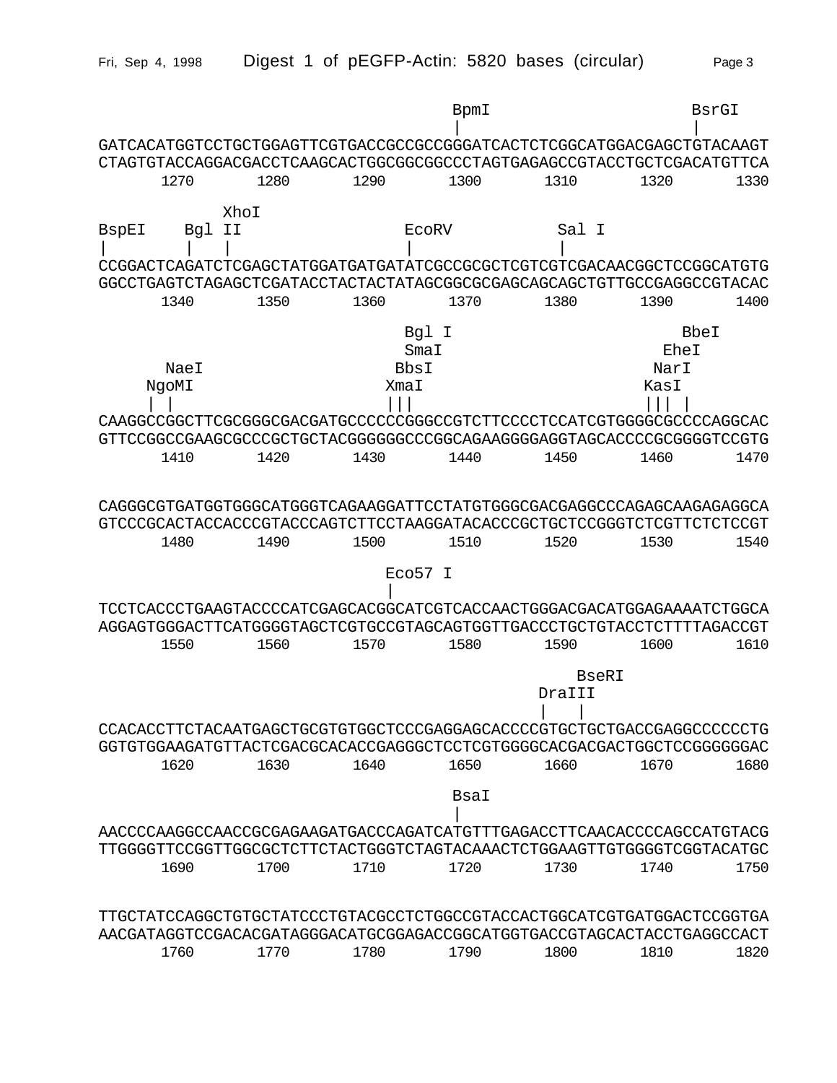|              |               |      |                               | BpmI                                                                                                                                                     |                        | BsrGI                        |      |
|--------------|---------------|------|-------------------------------|----------------------------------------------------------------------------------------------------------------------------------------------------------|------------------------|------------------------------|------|
|              |               |      |                               | GATCACATGGTCCTGCTGGAGTTCGTGACCGCCGCCGGGATCACTCTCGGCATGGACGAGCTGTACAAGT<br>CTAGTGTACCAGGACGACCTCAAGCACTGGCGGCGCCCTAGTGAGAGCCGTACCTGCTCGACATGTTCA          |                        |                              |      |
|              | 1270          | 1280 | 1290                          | 1300                                                                                                                                                     | 1310                   | 1320                         | 1330 |
|              | XhoI          |      |                               |                                                                                                                                                          |                        |                              |      |
| <b>BspEI</b> | II<br>Bg1     |      | <b>ECORV</b>                  | CCGGACTCAGATCTCGAGCTATGGATGATGATATCGCCGCGCTCGTCGTCGACAACGGCTCCGGCATGTG                                                                                   | Sal I                  |                              |      |
|              | 1340          | 1350 | 1360                          | GGCCTGAGTCTAGAGCTCGATACCTACTACTATAGCGGCGCGAGCAGCAGCTGTTGCCGAGGCCGTACAC<br>1370                                                                           | 1380                   | 1390                         | 1400 |
|              | NaeI<br>NgoMI |      | Bgl I<br>SmaI<br>BbsI<br>XmaI |                                                                                                                                                          |                        | BbeI<br>EheI<br>NarI<br>KasI |      |
|              | 1410          | 1420 | 1430                          | CAAGGCCGGCTTCGCGGGCGACGATGCCCCCCGGGCCGTCTTCCCCTCCATCGTGGGGCGCCCCAGGCAC<br>GTTCCGGCCGAAGCGCCCGCTGCTACGGGGGGCCCGGCAGAAGGGGAGGTAGCACCCCGCGGGGTCCGTG<br>1440 | 1450                   | 1460                         | 1470 |
|              | 1480          | 1490 | 1500                          | CAGGGCGTGATGGTGGCATGGGTCAGAAGGATTCCTATGTGGGCGACGAGGCCCAGAGCAAGAGAGGCA<br>GTCCCGCACTACCACCCGTACCCAGTCTTCCTAAGGATACACCCGCTGCTCCGGGTCTCGTTCTCTCCGT<br>1510  | 1520                   | 1530                         | 1540 |
|              |               |      | Eco57 I                       |                                                                                                                                                          |                        |                              |      |
|              | 1550          | 1560 | 1570                          | TCCTCACCCTGAAGTACCCCATCGAGCACGGCATCGTCACCAACTGGGACGACATGGAGAAAATCTGGCA<br>AGGAGTGGGACTTCATGGGGTAGCTCGTGCCGTAGCAGTGGTTGACCCTGCTGTACCTCTTTTAGACCGT<br>1580 | 1590                   | 1600                         | 1610 |
|              |               |      |                               |                                                                                                                                                          | <b>BseRI</b><br>DraIII |                              |      |
|              |               |      |                               | CCACACCTTCTACAATGAGCTGCGTGTGGCTCCCGAGGAGCACCCCGTGCTGCTGACCGAGGCCCCCCTG<br>GGTGTGGAAGATGTTACTCGACGCACACCGAGGGCTCCTCGTGGGGCACGACGACTGGCTCCGGGGGGAC         |                        |                              |      |
|              | 1620          | 1630 | 1640                          | 1650                                                                                                                                                     | 1660                   | 1670                         | 1680 |
|              |               |      |                               | BsaI                                                                                                                                                     |                        |                              |      |
|              |               |      |                               | AACCCCAAGGCCAACCGCGAGAAGATGACCCAGATCATGTTTGAGACCTTCAACACCCCAGCCATGTACG<br>TTGGGGTTCCGGTTGGCGCTCTTCTACTGGGTCTAGTACAAACTCTGGAAGTTGTGGGGTCGGTACATGC         |                        |                              |      |
|              | 1690          | 1700 | 1710                          | 1720                                                                                                                                                     | 1730                   | 1740                         | 1750 |
|              |               |      |                               | TTGCTATCCAGGCTGTGCTATCCCTGTACGCCTCTGGCCGTACCACTGGCATCGTGATGGACTCCGGTGA<br>AACGATAGGTCCGACACGATAGGGACATGCGGAGACCGGCATGGTGACCGTAGCACTACCTGAGGCCACT         |                        |                              |      |
|              | 1760          | 1770 | 1780                          | 1790                                                                                                                                                     | 1800                   | 1810                         | 1820 |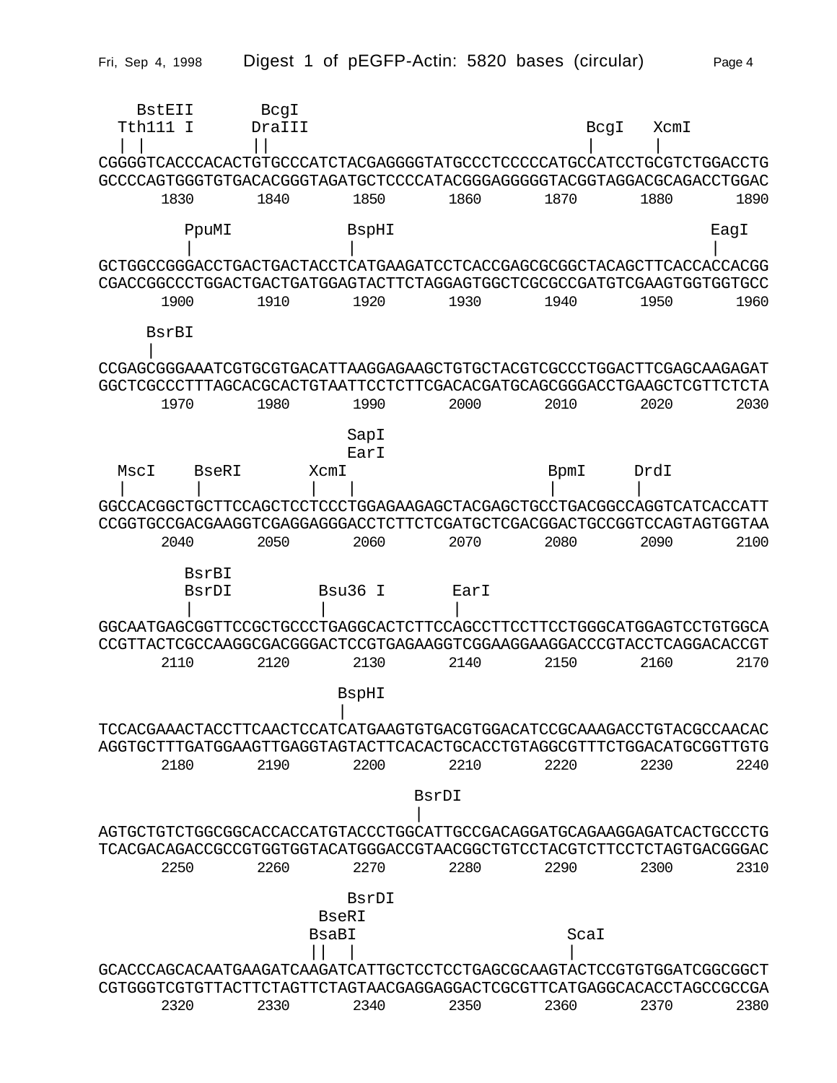| BstEII<br>Tth111 I<br>CGGGGTCACCCACACTGTGCCCATCTACGAGGGGTATGCCCTCCCCCATGCCATCCTGCGTCTGGACCTG                                                             | BcgI<br>DraTTT |                       |               | BcgI | XcmI |      |
|----------------------------------------------------------------------------------------------------------------------------------------------------------|----------------|-----------------------|---------------|------|------|------|
| GCCCCAGTGGGTGTGACACGGGTAGATGCTCCCCATACGGGAGGGGTACGGTAGGACGCAGACCTGGAC<br>1830                                                                            | 1840           | 1850                  | 1860          | 1870 | 1880 | 1890 |
| PpuMI                                                                                                                                                    |                | BspHI                 |               |      |      | EagI |
| GCTGGCCGGGACCTGACTGACTACCTCATGAAGATCCTCACCGAGCGCGGCTACAGCTTCACCACCACGG<br>CGACCGGCCCTGGACTGACTGATGGAGTACTTCTAGGAGTGGCTCGCGCCGATGTCGAAGTGGTGGTGCC<br>1900 | 1910           | 1920                  | 1930          | 1940 | 1950 | 1960 |
| BsrBI                                                                                                                                                    |                |                       |               |      |      |      |
| CCGAGCGGGAAATCGTGCGTGACATTAAGGAGAAGCTGTGCTACGTCGCCCTGGACTTCGAGCAAGAGAT<br>GGCTCGCCCTTTAGCACGCACTGTAATTCCTCTTCGACACGATGCAGCGGGACCTGAAGCTCGTTCTCTA         |                |                       |               |      |      |      |
| 1970                                                                                                                                                     | 1980           | 1990<br>SapI          | 2000          | 2010 | 2020 | 2030 |
| MscI<br>BseRI                                                                                                                                            |                | EarI<br>XcmI          |               | BpmI | DrdT |      |
| GGCCACGGCTGCTTCCAGCTCCTCCCTGGAGAAGAGCTACGAGCTGCCTGACGGCCAGGTCATCACCATT<br>CCGGTGCCGACGAAGGTCGAGGAGGGACCTCTTCTCGATGCTCGACGGACTGCCGGTCCAGTAGTGGTAA         |                |                       |               |      |      |      |
| 2040<br>BsrBI                                                                                                                                            | 2050           | 2060                  | 2070          | 2080 | 2090 | 2100 |
| BsrDI                                                                                                                                                    |                | Bsu36<br>$\top$       | EarI          |      |      |      |
| 2110                                                                                                                                                     | 2120           | 2130                  | 2140          | 2150 | 2160 | 2170 |
|                                                                                                                                                          |                | <b>BspHI</b>          |               |      |      |      |
| TCCACGAAACTACCTTCAACTCCATCATGAAGTGTGACGTGGACATCCGCAAAGACCTGTACGCCAACAC<br>AGGTGCTTTGATGGAAGTTGAGGTAGTACTTCACACTGCACCTGTAGGCGTTTCTGGACATGCGGTTGTG         |                |                       |               |      |      |      |
| 2180                                                                                                                                                     | 2190           | 2200                  | 2210<br>BsrDT | 2220 | 2230 | 2240 |
| AGTGCTGTCTGGCGGCACCACCATGTACCCTGGCATTGCCGACAGGATGCAGAAGGAGATCACTGCCCTG                                                                                   |                |                       |               |      |      |      |
| TCACGACAGACCGCCTGGTGGTACATGGGACCGTAACGGCTGTCCTACGTCTTCCTCTACTGACGGGAC<br>2250                                                                            | 2260           | 2270                  | 2280          | 2290 | 2300 | 2310 |
|                                                                                                                                                          |                | BsrDI<br><b>BseRI</b> |               |      |      |      |
|                                                                                                                                                          |                | BsaBI                 |               | ScaI |      |      |
| GCACCCAGCACAATGAAGATCAAGATCATTGCTCCTCCTGAGCGCAAGTACTCCGTGTGGATCGGCGGCT<br>CGTGGGTCGTGTTACTTCTAGTTCTAGTAACGAGGAGGACTCGCGTTCATGAGGCACACCTAGCCGCCGA         |                |                       |               |      |      |      |
| 2320                                                                                                                                                     | 2330           | 2340                  | 2350          | 2360 | 2370 | 2380 |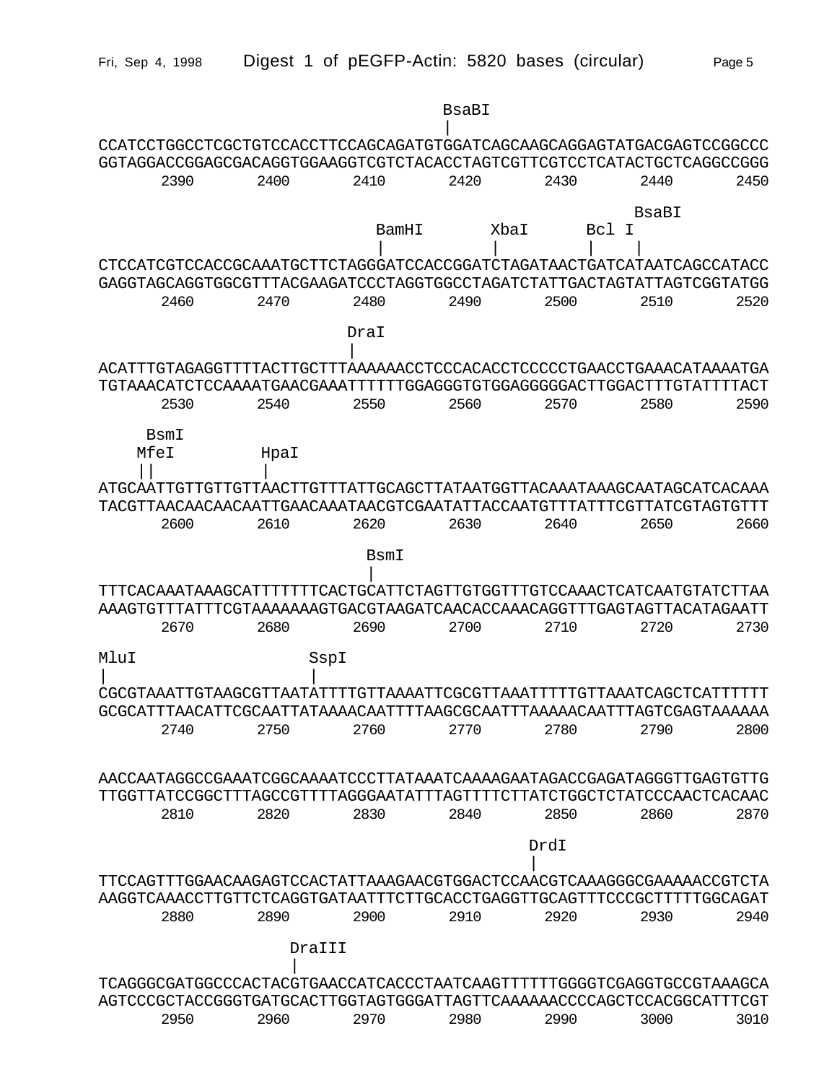|                     |      |        |       | <b>BsaBI</b> |       |                                                                                                                                                 |      |
|---------------------|------|--------|-------|--------------|-------|-------------------------------------------------------------------------------------------------------------------------------------------------|------|
|                     |      |        |       |              |       |                                                                                                                                                 |      |
|                     | 2390 | 2400   | 2410  | 2420         | 2430  | 2440                                                                                                                                            | 2450 |
|                     |      |        |       |              |       | BsaBI                                                                                                                                           |      |
|                     |      |        | BamHI | XbaI         | Bcl I |                                                                                                                                                 |      |
|                     |      |        |       |              |       | CTCCATCGTCCACCGCAAATGCTTCTAGGGATCCACCGGATCTAGATAACTGATCATAATCAGCCATACC                                                                          |      |
|                     | 2460 | 2470   | 2480  | 2490         | 2500  | GAGGTAGCAGGTGGCGTTTACGAAGATCCCTAGGTGGCCTAGATCTATTGACTAGTATTAGTCGGTATGG<br>2510                                                                  | 2520 |
|                     |      |        | DraI  |              |       |                                                                                                                                                 |      |
|                     |      |        |       |              |       |                                                                                                                                                 |      |
|                     |      |        |       |              |       | ACATTTGTAGAGGTTTTACTTGCTTTAAAAAACCTCCCACACCTCCCCCTGAACCTGAAACATAAAATGA<br>TGTAAACATCTCCAAAATGAACGAAATTTTTTGGAGGGTGTGGAGGGGACTTGGACTTTGTATTTTACT |      |
|                     | 2530 | 2540   | 2550  | 2560         | 2570  | 2580                                                                                                                                            | 2590 |
|                     |      |        |       |              |       |                                                                                                                                                 |      |
| <b>BsmI</b><br>MfeI |      | HpaI   |       |              |       |                                                                                                                                                 |      |
|                     |      |        |       |              |       |                                                                                                                                                 |      |
|                     |      |        |       |              |       | ATGCAATTGTTGTTGTTAACTTGTTTATTGCAGCTTATAATGGTTACAAATAAAGCAATAGCATCACAAA                                                                          |      |
|                     |      |        |       |              |       | TACGTTAACAACAACAATTGAACAAATAACGTCGAATATTACCAATGTTTATTTCGTTATCGTAGTGTTT                                                                          |      |
|                     | 2600 | 2610   | 2620  | 2630         | 2640  | 2650                                                                                                                                            | 2660 |
|                     |      |        | BsmI  |              |       |                                                                                                                                                 |      |
|                     |      |        |       |              |       | TTTCACAAATAAAGCATTTTTTCACTGCATTCTAGTTGTGGTTTGTCCAAACTCATCAATGTATCTTAA                                                                           |      |
|                     | 2670 | 2680   | 2690  | 2700         | 2710  | AAAGTGTTTATTTCGTAAAAAAAGTGACGTAAGATCAACACCAAACAGGTTTGAGTAGTTACATAGAATT<br>2720                                                                  | 2730 |
|                     |      |        |       |              |       |                                                                                                                                                 |      |
| MluI                |      | SspI   |       |              |       |                                                                                                                                                 |      |
|                     |      |        |       |              |       | CGCGTAAATTGTAAGCGTTAATATTTTGTTAAAATTCGCGTTAAATTTTTGTTAAATCAGCTCATTTTTT                                                                          |      |
|                     | 2740 | 2750   | 2760  | 2770         | 2780  | GCGCATTTAACATTCGCAATTATAAAACAATTTTAAGCGCAATTTAAAAACAATTTAGTCGAGTAAAAAA<br>2790                                                                  | 2800 |
|                     |      |        |       |              |       |                                                                                                                                                 |      |
|                     |      |        |       |              |       | AACCAATAGGCCGAAATCGGCAAAATCCCTTATAAATCAAAAGAATAGACCGAGATAGGGTTGAGTGTTG                                                                          |      |
|                     | 2810 | 2820   | 2830  | 2840         | 2850  | TTGGTTATCCGGCTTTAGCCGTTTTAGGGAATATTTAGTTTTCTTATCTGGCTCTATCCCAACTCACAAC<br>2860                                                                  | 2870 |
|                     |      |        |       |              |       |                                                                                                                                                 |      |
|                     |      |        |       |              | DrdI  |                                                                                                                                                 |      |
|                     |      |        |       |              |       | TTCCAGTTTGGAACAAGAGTCCACTATTAAAGAACGTGGACTCCAACGTCAAAGGGCGAAAAACCGTCTA                                                                          |      |
|                     | 2880 | 2890   | 2900  | 2910         | 2920  | AAGGTCAAACCTTGTTCTCAGGTGATAATTTCTTGCACCTGAGGTTGCAGTTTCCCGCTTTTTGGCAGAT<br>2930                                                                  | 2940 |
|                     |      |        |       |              |       |                                                                                                                                                 |      |
|                     |      | DraIII |       |              |       |                                                                                                                                                 |      |
|                     |      |        |       |              |       | TCAGGGCGATGGCCCACTACGTGAACCATCACCCTAATCAAGTTTTTTGGGGTCGAGGTGCCGTAAAGCA                                                                          |      |
|                     | 2950 | 2960   | 2970  | 2980         | 2990  | AGTCCCGCTACCGGGTGATGCACTTGGTAGTGGGATTAGTTCAAAAAACCCCAGCTCCACGGCATTTCGT<br>3000                                                                  | 3010 |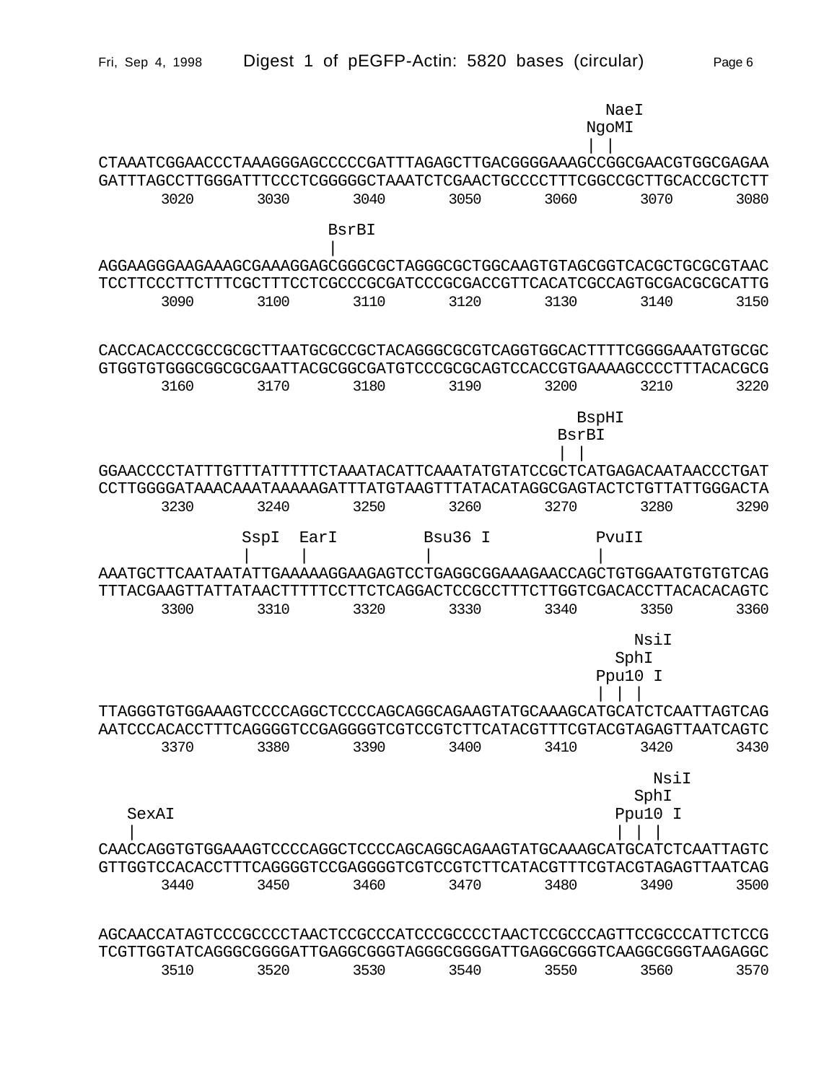| Fri, Sep 4, 1998                                                       |              |       | Digest 1 of pEGFP-Actin: 5820 bases (circular) |                |         | Page 6 |
|------------------------------------------------------------------------|--------------|-------|------------------------------------------------|----------------|---------|--------|
|                                                                        |              |       |                                                | NgoMI          | NaeI    |        |
| CTAAATCGGAACCCTAAAGGGAGCCCCCGATTTAGAGCTTGACGGGGAAAGCCGGCGAACGTGGCGAGAA |              |       |                                                |                |         |        |
| GATTTAGCCTTGGGATTTCCCTCGGGGGCTAAATCTCGAACTGCCCCTTTCGGCCGCTTGCACCGCTCTT |              |       |                                                |                |         |        |
| 3020                                                                   | 3030         | 3040  | 3050                                           | 3060           | 3070    | 3080   |
|                                                                        |              | BsrBI |                                                |                |         |        |
| AGGAAGGGAAGAAAGCGAAAGGAGCGGGCGCTAGGGCGCTGGCAAGTGTAGCGGTCACGCTGCGCGTAAC |              |       |                                                |                |         |        |
| TCCTTCCCTTCTTTCGCTTTCCTCGCCCGCGATCCCGCGACCGTTCACATCGCCAGTGCGACGCGCATTG |              |       |                                                |                |         |        |
| 3090                                                                   | 3100         | 3110  | 3120                                           | 3130           | 3140    | 3150   |
|                                                                        |              |       |                                                |                |         |        |
| CACCACACCCGCCGCGCTTAATGCGCCGCTACAGGGCGCGTCAGGTGGCACTTTTCGGGGAAATGTGCGC |              |       |                                                |                |         |        |
| GTGGTGTGGGCGGCGCGAATTACGCGGCGATGTCCCGCGCAGTCCACCGTGAAAAGCCCCTTTACACGCG |              |       |                                                |                |         |        |
| 3160                                                                   | 3170         | 3180  | 3190                                           | 3200           | 3210    | 3220   |
|                                                                        |              |       |                                                |                |         |        |
|                                                                        |              |       |                                                | BspHI<br>BsrBI |         |        |
|                                                                        |              |       |                                                |                |         |        |
| GGAACCCCTATTTGTTTATTTTTCTAAATACATTCAAATATGTATCCGCTCATGAGACAATAACCCTGAT |              |       |                                                |                |         |        |
| CCTTGGGGATAAACAAATAAAAAGATTTATGTAAGTTTATACATAGGCGAGTACTCTGTTATTGGGACTA |              |       |                                                |                |         |        |
| 3230                                                                   | 3240         | 3250  | 3260                                           | 3270           | 3280    | 3290   |
|                                                                        | SspI<br>EarI |       | Bsu36 I                                        |                | PvuII   |        |
|                                                                        |              |       |                                                |                |         |        |
| AAATGCTTCAATAATATTGAAAAAGGAAGAGTCCTGAGGCGGAAAGAACCAGCTGTGGAATGTGTCTCAG |              |       |                                                |                |         |        |
| TTTACGAAGTTATTATAACTTTTTCCTTCTCAGGACTCCGCCTTTCTTGGTCGACACCTTACACACAGTC |              |       |                                                |                |         |        |
| 3300                                                                   | 3310         | 3320  | 3330                                           | 3340           | 3350    | 3360   |
|                                                                        |              |       |                                                |                | NsiI    |        |
|                                                                        |              |       |                                                |                | SphI    |        |
|                                                                        |              |       |                                                |                | Ppu10 I |        |
|                                                                        |              |       |                                                |                |         |        |
|                                                                        |              |       |                                                |                |         |        |
|                                                                        |              |       |                                                |                |         |        |
| 3370                                                                   | 3380         | 3390  | 3400                                           | 3410           | 3420    | 3430   |
|                                                                        |              |       |                                                |                | NsiI    |        |
|                                                                        |              |       |                                                |                | SphI    |        |
| SexAI                                                                  |              |       |                                                |                | Ppu10 I |        |
|                                                                        |              |       |                                                |                |         |        |
|                                                                        |              |       |                                                |                |         |        |
|                                                                        |              |       |                                                |                |         |        |
| 3440                                                                   | 3450         | 3460  | 3470                                           | 3480           | 3490    | 3500   |
|                                                                        |              |       |                                                |                |         |        |
| AGCAACCATAGTCCCGCCCCTAACTCCGCCCATCCCGCCCCTAACTCCGCCCAGTTCCGCCCATTCTCCG |              |       |                                                |                |         |        |
| TCGTTGGTATCAGGGCGGGGATTGAGGCGGGTAGGGCGGGGATTGAGGCGGGTCAAGGCGGTAAGAGGC  |              |       |                                                |                |         |        |
| 3510                                                                   | 3520         | 3530  | 3540                                           | 3550           | 3560    | 3570   |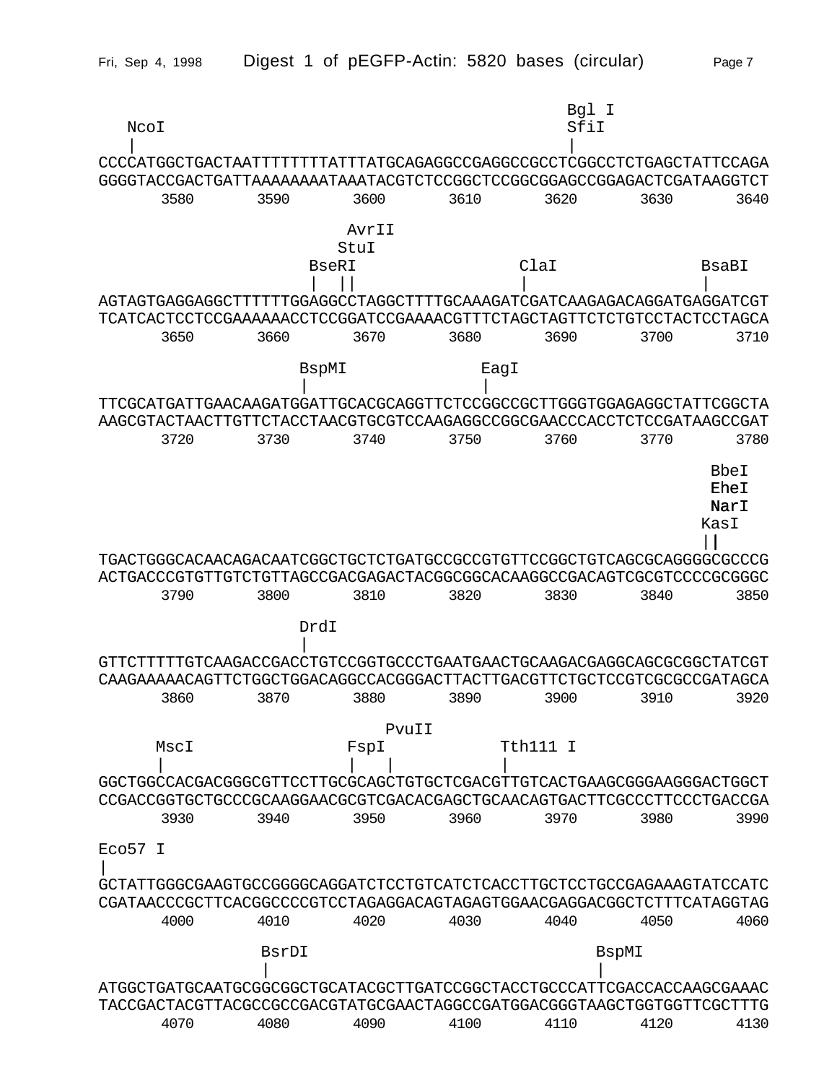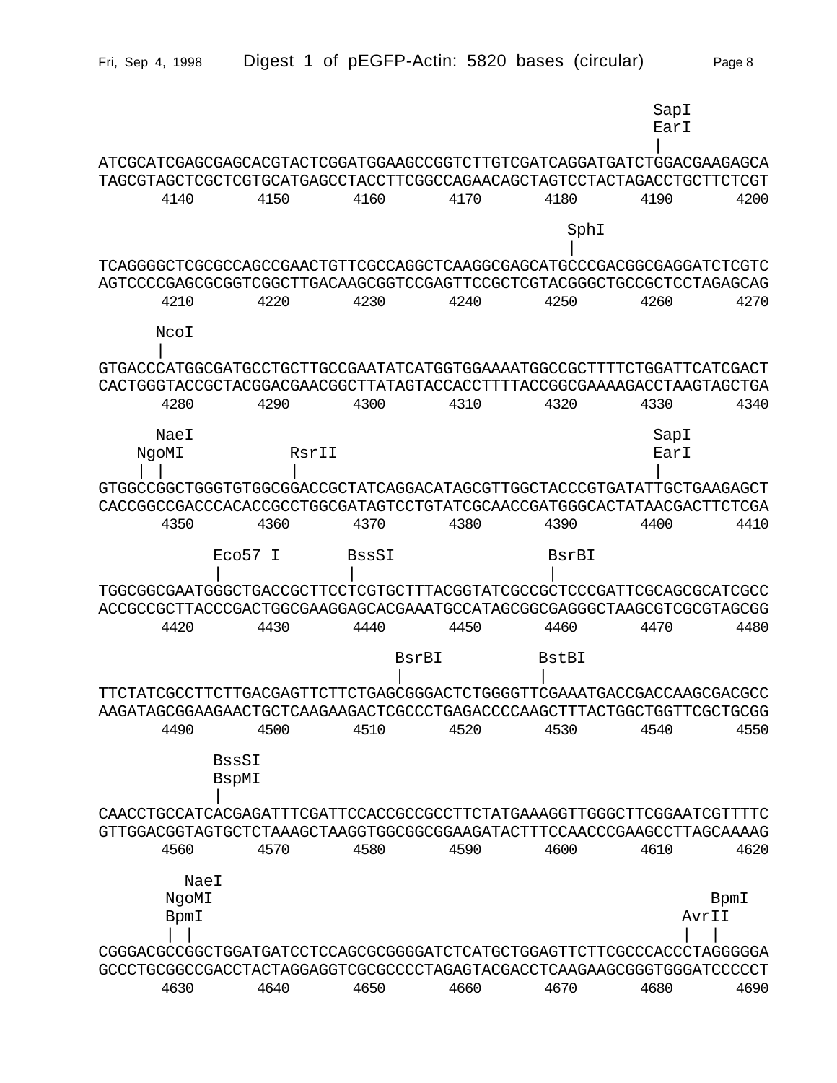| Fri, Sep 4, 1998                                                                                                                                 | Digest 1 of pEGFP-Actin: 5820 bases (circular) |       |      |              | Page 8        |
|--------------------------------------------------------------------------------------------------------------------------------------------------|------------------------------------------------|-------|------|--------------|---------------|
|                                                                                                                                                  |                                                |       |      |              | SapI<br>EarI  |
| ATCGCATCGAGCGAGCACGTACTCGGATGGAAGCCGGTCTTGTCGATCAGGATGATCTGGACGAAGAGCA                                                                           |                                                |       |      |              |               |
| TAGCGTAGCTCGCTCGTGCATGAGCCTACCTTCGGCCAGAACAGCTAGTCCTACTAGACCTGCTTCTCGT<br>4140                                                                   | 4150                                           | 4160  | 4170 | 4180         | 4200<br>4190  |
|                                                                                                                                                  |                                                |       |      | SphI         |               |
|                                                                                                                                                  |                                                |       |      |              |               |
| TCAGGGGCTCGCGCCAGCCGAACTGTTCGCCAGGCTCAAGGCGAGCATGCCCGACGGCGAGGATCTCGTC<br>AGTCCCCGAGCGCGGTCGGCTTGACAAGCGGTCCGAGTTCCGCTCGTACGGGCTGCCGCTCCTAGAGCAG |                                                |       |      |              |               |
| 4210                                                                                                                                             | 4220                                           | 4230  | 4240 | 4250         | 4260<br>4270  |
| NcoI                                                                                                                                             |                                                |       |      |              |               |
| GTGACCCATGGCGATGCCTGCTTGCCGAATATCATGGTGGAAAATGGCCGCTTTTCTGGATTCATCGACT                                                                           |                                                |       |      |              |               |
| CACTGGGTACCGCTACGGACGAACGGCTTATAGTACCACCTTTTACCGGCGAAAAGACCTAAGTAGCTGA                                                                           |                                                |       |      |              |               |
| 4280                                                                                                                                             | 4290                                           | 4300  | 4310 | 4320         | 4330<br>4340  |
| NaeI                                                                                                                                             |                                                |       |      |              | SapI          |
| NgoMI                                                                                                                                            | RsrII                                          |       |      |              | EarI          |
| GTGGCCGGCTGGGTGTGCGGGACCGCTATCAGGACATAGCGTTGGCTACCCGTGATATTGCTGAAGAGCT                                                                           |                                                |       |      |              |               |
| CACCGGCCGACCCACACCGCCTGGCGATAGTCCTGTATCGCAACCGATGGGCACTATAACGACTTCTCGA                                                                           |                                                |       |      |              |               |
| 4350                                                                                                                                             | 4360                                           | 4370  | 4380 | 4390         | 4400<br>4410  |
|                                                                                                                                                  | Eco57 I                                        | BssSI |      | BsrBI        |               |
| TGGCGGCGAATGGGCTGACCGCTTCCTCGTGCTTTACGGTATCGCCGCTCCCGATTCGCAGCGCATCGCC                                                                           |                                                |       |      |              |               |
| ACCGCCGCTTACCCGACTGGCGAAGGAGCACGAAATGCCATAGCGGCGAGGGCTAAGCGTCGCGTAGCGG<br>4420                                                                   | 4430                                           | 4440  | 4450 | 4460         | 4470<br>4480  |
|                                                                                                                                                  |                                                |       |      |              |               |
|                                                                                                                                                  |                                                | BsrBI |      | <b>BstBI</b> |               |
|                                                                                                                                                  |                                                |       |      |              |               |
| 4490                                                                                                                                             | 4500                                           | 4510  | 4520 | 4530         | 4550<br>4540  |
|                                                                                                                                                  |                                                |       |      |              |               |
| <b>BssSI</b><br><b>BspMI</b>                                                                                                                     |                                                |       |      |              |               |
| CAACCTGCCATCACGAGATTTCGATTCCACCGCCGCCTTCTATGAAAGGTTGGGCTTCGGAATCGTTTTC                                                                           |                                                |       |      |              |               |
| GTTGGACGGTAGTGCTCTAAAGCTAAGGTGGCGGCGGAAGATACTTTCCAACCCGAAGCCTTAGCAAAAG                                                                           |                                                |       |      |              |               |
| 4560                                                                                                                                             | 4570                                           | 4580  | 4590 | 4600         | 4620<br>4610  |
| NaeI                                                                                                                                             |                                                |       |      |              |               |
| NgoMI<br>BpmI                                                                                                                                    |                                                |       |      |              | BpmI<br>AvrII |
|                                                                                                                                                  |                                                |       |      |              |               |
| CGGGACGCCCGCTGGATGATCCTCCAGCGCGGGGATCTCATGCTGGAGTTCTTCGCCCACCCTAGGGGGA                                                                           |                                                |       |      |              |               |
| GCCCTGCGGCCGACCTACTAGGAGGTCGCGCCCCTAGAGTACGACCTCAAGAAGCGGGTGGGATCCCCCT<br>4630                                                                   | 4640                                           | 4650  | 4660 | 4670         | 4680<br>4690  |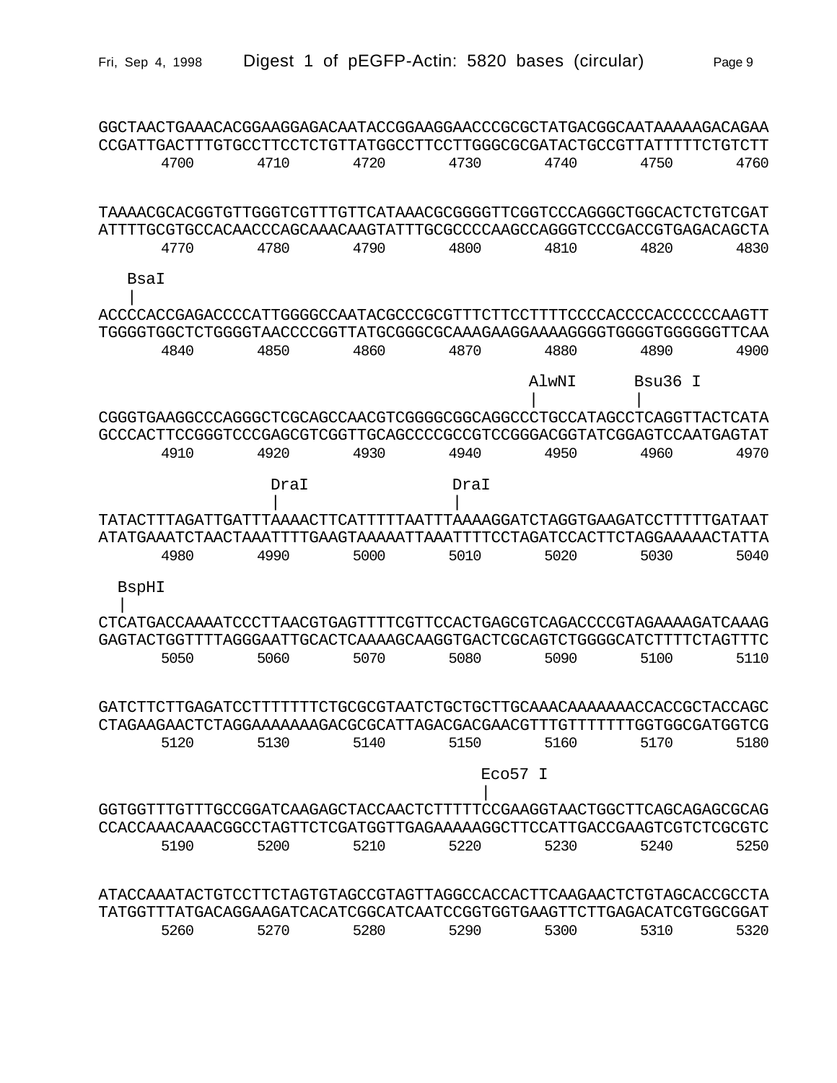| GGCTAACTGAAACACGGAAGGAGACAATACCGGAAGGAACCCGCGCTATGACGGCAATAAAAAGACAGAA<br>CCGATTGACTTTGTGCCTTCCTCTGTTATGGCCTTCCTTGGGCGCGATACTGCCGTTATTTTTCTGTCTT  |      |      |      |         |            |      |
|---------------------------------------------------------------------------------------------------------------------------------------------------|------|------|------|---------|------------|------|
| 4700                                                                                                                                              | 4710 | 4720 | 4730 | 4740    | 4750       | 4760 |
| TAAAACGCACGGTGTTGGGTCGTTTGTTCATAAACGCGGGGTTCGGTCCCAGGGCTGGCACTCTGTCGAT<br>ATTTTGCGTGCCACAACCCAGCAAACAAGTATTTGCGCCCCAAGCCAGGGTCCCGACCGTGAGACACACTA |      |      |      |         |            |      |
| 4770                                                                                                                                              | 4780 | 4790 | 4800 | 4810    | 4820       | 4830 |
| BsaI                                                                                                                                              |      |      |      |         |            |      |
| ACCCCACCGAGAGCCCCATTGGGGCCAATACGCCCGCGTTTCTTCCTTTTCCCCACCCCACCCCCAAGTT                                                                            |      |      |      |         |            |      |
| TGGGGTGGCTCTGGGGTAACCCCGGTTATGCGGGCGCAAAGAAGGAAAAGGGGTGGGGTGGGGGTTCAA<br>4840                                                                     | 4850 | 4860 | 4870 | 4880    | 4890       | 4900 |
|                                                                                                                                                   |      |      |      | AlwNI   | Bsu36<br>T |      |
| CGGGTGAAGGCCCAGGGCTCGCAGCCAACGTCGGGGCGCAGGCCCTGCCATAGCCTCAGGTTACTCATA                                                                             |      |      |      |         |            |      |
| GCCCACTTCCGGGTCCCGAGCGTCGGTTGCAGCCCCCGCCGTCCGGACGGTATCGGAGTCCAATGAGTAT                                                                            |      |      |      |         |            |      |
| 4910                                                                                                                                              | 4920 | 4930 | 4940 | 4950    | 4960       | 4970 |
|                                                                                                                                                   | DraI |      | DraT |         |            |      |
|                                                                                                                                                   |      |      |      |         |            |      |
|                                                                                                                                                   |      |      |      |         |            |      |
| 4980                                                                                                                                              | 4990 | 5000 | 5010 | 5020    | 5030       | 5040 |
| BspHI                                                                                                                                             |      |      |      |         |            |      |
| CTCATGACCAAAATCCCTTAACGTGAGTTTTCGTTCCACTGAGCGTCAGACCCCGTAGAAAAGATCAAAG                                                                            |      |      |      |         |            |      |
| GAGTACTGGTTTTAGGGAATTGCACTCAAAAGCAAGGTGACTCGCAGTCTGGGGCATCTTTTCTAGTTTC                                                                            |      |      |      |         |            |      |
| 5050                                                                                                                                              | 5060 | 5070 | 5080 | 5090    | 5100       | 5110 |
|                                                                                                                                                   |      |      |      |         |            |      |
|                                                                                                                                                   |      |      |      |         |            |      |
| 5120                                                                                                                                              | 5130 | 5140 | 5150 | 5160    | 5170       | 5180 |
|                                                                                                                                                   |      |      |      | Eco57 I |            |      |
| GGTGGTTTGTTTGCCGGATCAAGAGCTACCAACTCTTTTTCCGAAGGTAACTGGCTTCAGCAGAGCGCAG                                                                            |      |      |      |         |            |      |
| CCACCAAACAAACGGCCTAGTTCTCGATGGTTGAGAAAAAGGCTTCCATTGACCGAAGTCGTCTCGCGTC                                                                            |      |      |      |         |            |      |
| 5190                                                                                                                                              | 5200 | 5210 | 5220 | 5230    | 5240       | 5250 |
| ATACCAAATACTGTCCTTCTAGTGTAGCCGTAGTTAGGCCACCACTTCAAGAACTCTGTAGCACCGCCTA                                                                            |      |      |      |         |            |      |
| TATGGTTTATGACAGGAAGATCACATCGGCATCAATCCGGTGGTGAAGTTCTTGAGACATCGTGGCGGAT                                                                            |      |      |      |         |            |      |
| 5260                                                                                                                                              | 5270 | 5280 | 5290 | 5300    | 5310       | 5320 |